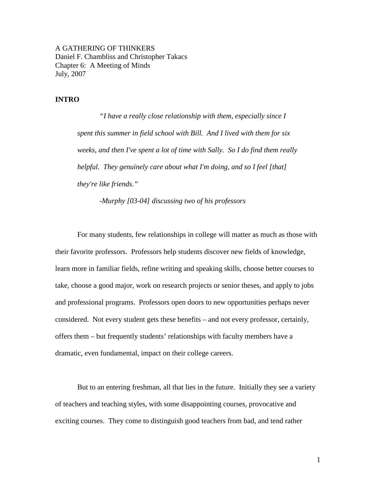A GATHERING OF THINKERS Daniel F. Chambliss and Christopher Takacs Chapter 6: A Meeting of Minds July, 2007

## **INTRO**

 *"I have a really close relationship with them, especially since I spent this summer in field school with Bill. And I lived with them for six weeks, and then I've spent a lot of time with Sally. So I do find them really helpful. They genuinely care about what I'm doing, and so I feel [that] they're like friends."* 

 *-Murphy [03-04] discussing two of his professors* 

For many students, few relationships in college will matter as much as those with their favorite professors. Professors help students discover new fields of knowledge, learn more in familiar fields, refine writing and speaking skills, choose better courses to take, choose a good major, work on research projects or senior theses, and apply to jobs and professional programs. Professors open doors to new opportunities perhaps never considered. Not every student gets these benefits – and not every professor, certainly, offers them – but frequently students' relationships with faculty members have a dramatic, even fundamental, impact on their college careers.

 But to an entering freshman, all that lies in the future. Initially they see a variety of teachers and teaching styles, with some disappointing courses, provocative and exciting courses. They come to distinguish good teachers from bad, and tend rather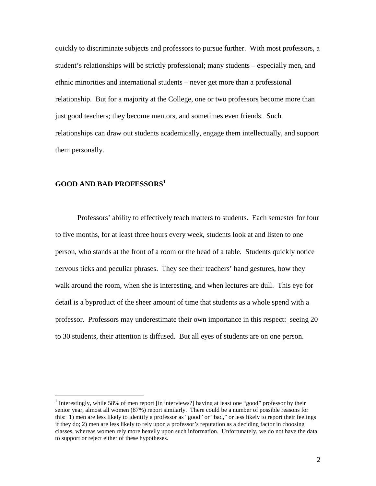quickly to discriminate subjects and professors to pursue further. With most professors, a student's relationships will be strictly professional; many students – especially men, and ethnic minorities and international students – never get more than a professional relationship. But for a majority at the College, one or two professors become more than just good teachers; they become mentors, and sometimes even friends. Such relationships can draw out students academically, engage them intellectually, and support them personally.

# **GOOD AND BAD PROFESSORS<sup>1</sup>**

 $\overline{a}$ 

Professors' ability to effectively teach matters to students. Each semester for four to five months, for at least three hours every week, students look at and listen to one person, who stands at the front of a room or the head of a table. Students quickly notice nervous ticks and peculiar phrases. They see their teachers' hand gestures, how they walk around the room, when she is interesting, and when lectures are dull. This eye for detail is a byproduct of the sheer amount of time that students as a whole spend with a professor. Professors may underestimate their own importance in this respect: seeing 20 to 30 students, their attention is diffused. But all eyes of students are on one person.

<sup>&</sup>lt;sup>1</sup> Interestingly, while 58% of men report [in interviews?] having at least one "good" professor by their senior year, almost all women (87%) report similarly. There could be a number of possible reasons for this: 1) men are less likely to identify a professor as "good" or "bad," or less likely to report their feelings if they do; 2) men are less likely to rely upon a professor's reputation as a deciding factor in choosing classes, whereas women rely more heavily upon such information. Unfortunately, we do not have the data to support or reject either of these hypotheses.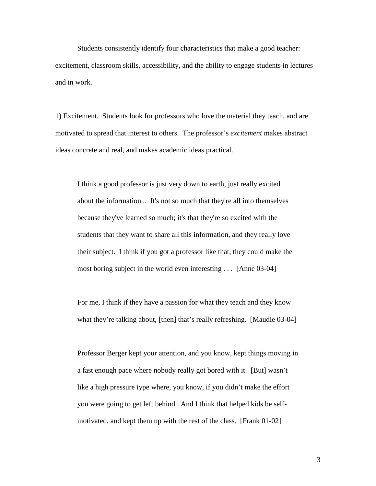Students consistently identify four characteristics that make a good teacher: excitement, classroom skills, accessibility, and the ability to engage students in lectures and in work.

1) Excitement. Students look for professors who love the material they teach, and are motivated to spread that interest to others. The professor's *excitement* makes abstract ideas concrete and real, and makes academic ideas practical.

I think a good professor is just very down to earth, just really excited about the information... It's not so much that they're all into themselves because they've learned so much; it's that they're so excited with the students that they want to share all this information, and they really love their subject. I think if you got a professor like that, they could make the most boring subject in the world even interesting . . . [Anne 03-04]

For me, I think if they have a passion for what they teach and they know what they're talking about, [then] that's really refreshing. [Maudie 03-04]

Professor Berger kept your attention, and you know, kept things moving in a fast enough pace where nobody really got bored with it. [But] wasn't like a high pressure type where, you know, if you didn't make the effort you were going to get left behind. And I think that helped kids be selfmotivated, and kept them up with the rest of the class. [Frank 01-02]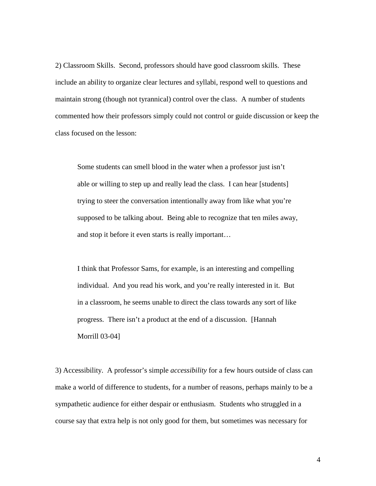2) Classroom Skills. Second, professors should have good classroom skills. These include an ability to organize clear lectures and syllabi, respond well to questions and maintain strong (though not tyrannical) control over the class. A number of students commented how their professors simply could not control or guide discussion or keep the class focused on the lesson:

Some students can smell blood in the water when a professor just isn't able or willing to step up and really lead the class. I can hear [students] trying to steer the conversation intentionally away from like what you're supposed to be talking about. Being able to recognize that ten miles away, and stop it before it even starts is really important…

I think that Professor Sams, for example, is an interesting and compelling individual. And you read his work, and you're really interested in it. But in a classroom, he seems unable to direct the class towards any sort of like progress. There isn't a product at the end of a discussion. [Hannah Morrill 03-04]

3) Accessibility. A professor's simple *accessibility* for a few hours outside of class can make a world of difference to students, for a number of reasons, perhaps mainly to be a sympathetic audience for either despair or enthusiasm. Students who struggled in a course say that extra help is not only good for them, but sometimes was necessary for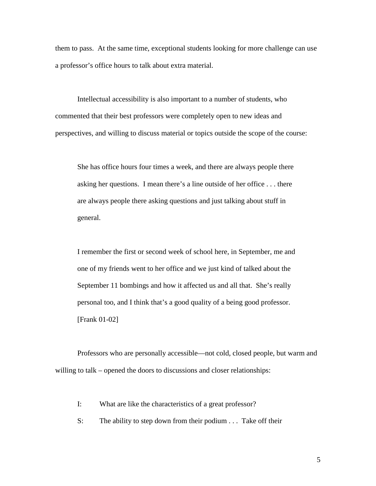them to pass. At the same time, exceptional students looking for more challenge can use a professor's office hours to talk about extra material.

Intellectual accessibility is also important to a number of students, who commented that their best professors were completely open to new ideas and perspectives, and willing to discuss material or topics outside the scope of the course:

She has office hours four times a week, and there are always people there asking her questions. I mean there's a line outside of her office . . . there are always people there asking questions and just talking about stuff in general.

I remember the first or second week of school here, in September, me and one of my friends went to her office and we just kind of talked about the September 11 bombings and how it affected us and all that. She's really personal too, and I think that's a good quality of a being good professor. [Frank 01-02]

Professors who are personally accessible—not cold, closed people, but warm and willing to talk – opened the doors to discussions and closer relationships:

I: What are like the characteristics of a great professor?

S: The ability to step down from their podium . . . Take off their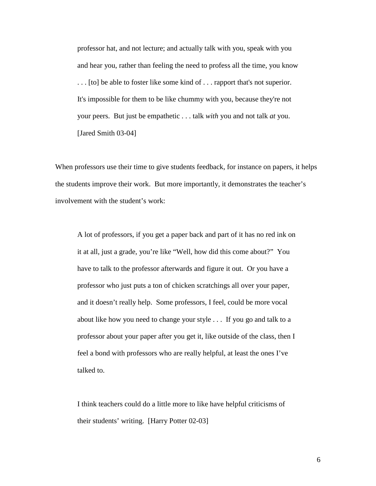professor hat, and not lecture; and actually talk with you, speak with you and hear you, rather than feeling the need to profess all the time, you know . . . [to] be able to foster like some kind of . . . rapport that's not superior. It's impossible for them to be like chummy with you, because they're not your peers. But just be empathetic . . . talk *with* you and not talk *at* you. [Jared Smith 03-04]

When professors use their time to give students feedback, for instance on papers, it helps the students improve their work. But more importantly, it demonstrates the teacher's involvement with the student's work:

A lot of professors, if you get a paper back and part of it has no red ink on it at all, just a grade, you're like "Well, how did this come about?" You have to talk to the professor afterwards and figure it out. Or you have a professor who just puts a ton of chicken scratchings all over your paper, and it doesn't really help. Some professors, I feel, could be more vocal about like how you need to change your style . . . If you go and talk to a professor about your paper after you get it, like outside of the class, then I feel a bond with professors who are really helpful, at least the ones I've talked to.

I think teachers could do a little more to like have helpful criticisms of their students' writing. [Harry Potter 02-03]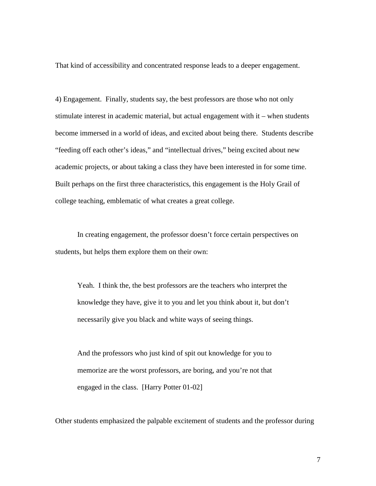That kind of accessibility and concentrated response leads to a deeper engagement.

4) Engagement. Finally, students say, the best professors are those who not only stimulate interest in academic material, but actual engagement with it – when students become immersed in a world of ideas, and excited about being there. Students describe "feeding off each other's ideas," and "intellectual drives," being excited about new academic projects, or about taking a class they have been interested in for some time. Built perhaps on the first three characteristics, this engagement is the Holy Grail of college teaching, emblematic of what creates a great college.

 In creating engagement, the professor doesn't force certain perspectives on students, but helps them explore them on their own:

Yeah. I think the, the best professors are the teachers who interpret the knowledge they have, give it to you and let you think about it, but don't necessarily give you black and white ways of seeing things.

And the professors who just kind of spit out knowledge for you to memorize are the worst professors, are boring, and you're not that engaged in the class. [Harry Potter 01-02]

Other students emphasized the palpable excitement of students and the professor during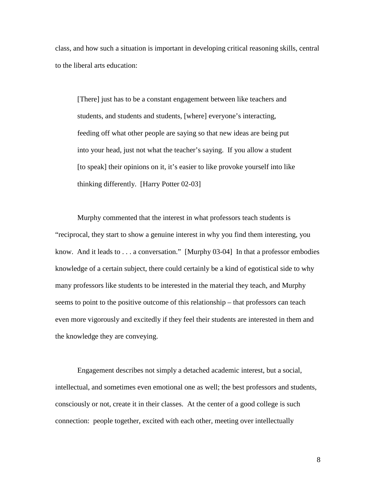class, and how such a situation is important in developing critical reasoning skills, central to the liberal arts education:

[There] just has to be a constant engagement between like teachers and students, and students and students, [where] everyone's interacting, feeding off what other people are saying so that new ideas are being put into your head, just not what the teacher's saying. If you allow a student [to speak] their opinions on it, it's easier to like provoke yourself into like thinking differently. [Harry Potter 02-03]

Murphy commented that the interest in what professors teach students is "reciprocal, they start to show a genuine interest in why you find them interesting, you know. And it leads to . . . a conversation." [Murphy 03-04] In that a professor embodies knowledge of a certain subject, there could certainly be a kind of egotistical side to why many professors like students to be interested in the material they teach, and Murphy seems to point to the positive outcome of this relationship – that professors can teach even more vigorously and excitedly if they feel their students are interested in them and the knowledge they are conveying.

 Engagement describes not simply a detached academic interest, but a social, intellectual, and sometimes even emotional one as well; the best professors and students, consciously or not, create it in their classes. At the center of a good college is such connection: people together, excited with each other, meeting over intellectually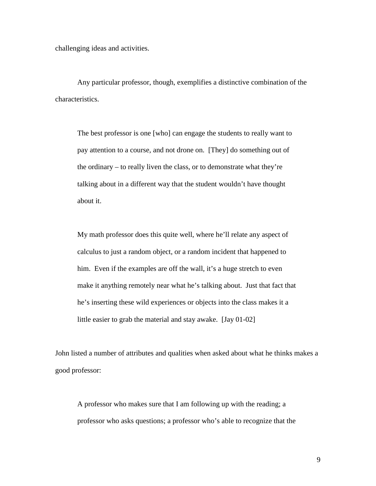challenging ideas and activities.

Any particular professor, though, exemplifies a distinctive combination of the characteristics.

The best professor is one [who] can engage the students to really want to pay attention to a course, and not drone on. [They] do something out of the ordinary – to really liven the class, or to demonstrate what they're talking about in a different way that the student wouldn't have thought about it.

My math professor does this quite well, where he'll relate any aspect of calculus to just a random object, or a random incident that happened to him. Even if the examples are off the wall, it's a huge stretch to even make it anything remotely near what he's talking about. Just that fact that he's inserting these wild experiences or objects into the class makes it a little easier to grab the material and stay awake. [Jay 01-02]

John listed a number of attributes and qualities when asked about what he thinks makes a good professor:

A professor who makes sure that I am following up with the reading; a professor who asks questions; a professor who's able to recognize that the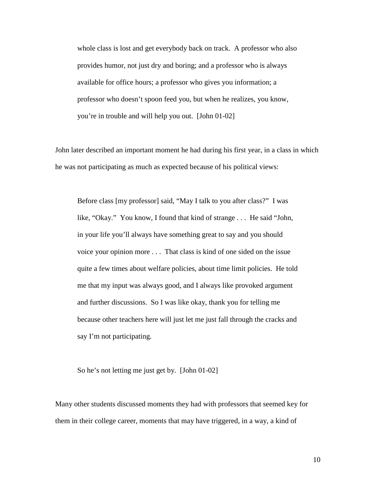whole class is lost and get everybody back on track. A professor who also provides humor, not just dry and boring; and a professor who is always available for office hours; a professor who gives you information; a professor who doesn't spoon feed you, but when he realizes, you know, you're in trouble and will help you out. [John 01-02]

John later described an important moment he had during his first year, in a class in which he was not participating as much as expected because of his political views:

Before class [my professor] said, "May I talk to you after class?" I was like, "Okay." You know, I found that kind of strange . . . He said "John, in your life you'll always have something great to say and you should voice your opinion more . . . That class is kind of one sided on the issue quite a few times about welfare policies, about time limit policies. He told me that my input was always good, and I always like provoked argument and further discussions. So I was like okay, thank you for telling me because other teachers here will just let me just fall through the cracks and say I'm not participating.

So he's not letting me just get by. [John 01-02]

Many other students discussed moments they had with professors that seemed key for them in their college career, moments that may have triggered, in a way, a kind of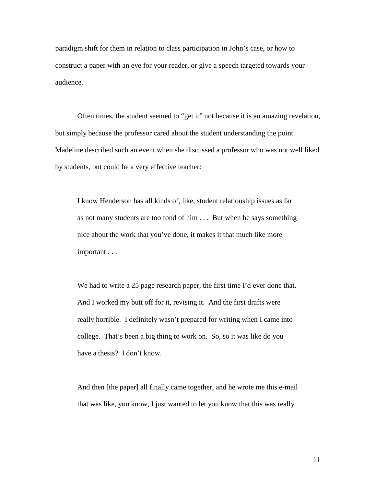paradigm shift for them in relation to class participation in John's case, or how to construct a paper with an eye for your reader, or give a speech targeted towards your audience.

Often times, the student seemed to "get it" not because it is an amazing revelation, but simply because the professor cared about the student understanding the point. Madeline described such an event when she discussed a professor who was not well liked by students, but could be a very effective teacher:

I know Henderson has all kinds of, like, student relationship issues as far as not many students are too fond of him . . . But when he says something nice about the work that you've done, it makes it that much like more important . . .

We had to write a 25 page research paper, the first time I'd ever done that. And I worked my butt off for it, revising it. And the first drafts were really horrible. I definitely wasn't prepared for writing when I came into college. That's been a big thing to work on. So, so it was like do you have a thesis? I don't know.

And then [the paper] all finally came together, and he wrote me this e-mail that was like, you know, I just wanted to let you know that this was really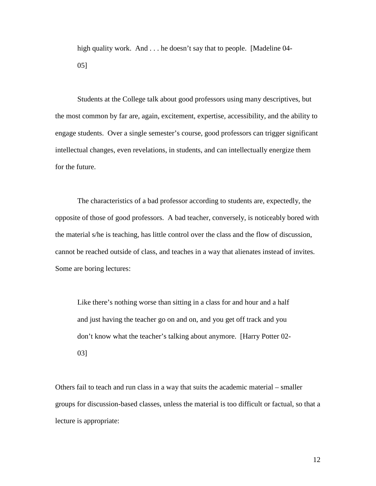high quality work. And . . . he doesn't say that to people. [Madeline 04-05]

 Students at the College talk about good professors using many descriptives, but the most common by far are, again, excitement, expertise, accessibility, and the ability to engage students. Over a single semester's course, good professors can trigger significant intellectual changes, even revelations, in students, and can intellectually energize them for the future.

The characteristics of a bad professor according to students are, expectedly, the opposite of those of good professors. A bad teacher, conversely, is noticeably bored with the material s/he is teaching, has little control over the class and the flow of discussion, cannot be reached outside of class, and teaches in a way that alienates instead of invites. Some are boring lectures:

Like there's nothing worse than sitting in a class for and hour and a half and just having the teacher go on and on, and you get off track and you don't know what the teacher's talking about anymore. [Harry Potter 02- 03]

Others fail to teach and run class in a way that suits the academic material – smaller groups for discussion-based classes, unless the material is too difficult or factual, so that a lecture is appropriate: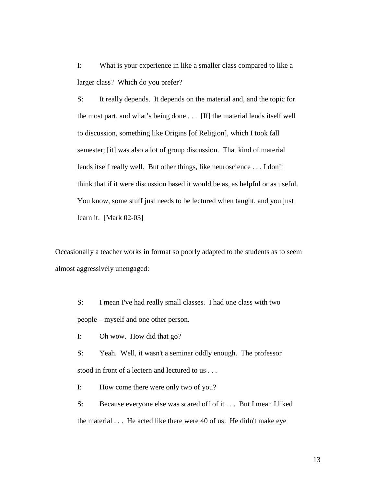I: What is your experience in like a smaller class compared to like a larger class? Which do you prefer?

S: It really depends. It depends on the material and, and the topic for the most part, and what's being done . . . [If] the material lends itself well to discussion, something like Origins [of Religion], which I took fall semester; [it] was also a lot of group discussion. That kind of material lends itself really well. But other things, like neuroscience . . . I don't think that if it were discussion based it would be as, as helpful or as useful. You know, some stuff just needs to be lectured when taught, and you just learn it. [Mark 02-03]

Occasionally a teacher works in format so poorly adapted to the students as to seem almost aggressively unengaged:

S: I mean I've had really small classes. I had one class with two people – myself and one other person.

I: Oh wow. How did that go?

S: Yeah. Well, it wasn't a seminar oddly enough. The professor stood in front of a lectern and lectured to us . . .

I: How come there were only two of you?

S: Because everyone else was scared off of it . . . But I mean I liked the material . . . He acted like there were 40 of us. He didn't make eye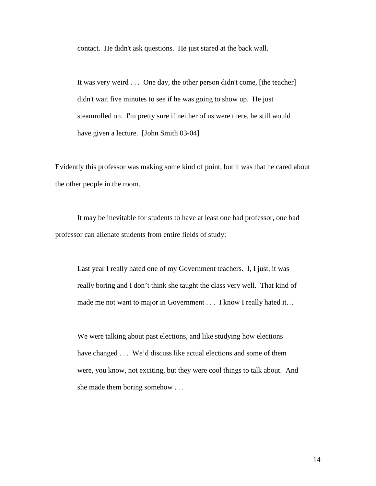contact. He didn't ask questions. He just stared at the back wall.

It was very weird . . . One day, the other person didn't come, [the teacher] didn't wait five minutes to see if he was going to show up. He just steamrolled on. I'm pretty sure if neither of us were there, he still would have given a lecture. [John Smith 03-04]

Evidently this professor was making some kind of point, but it was that he cared about the other people in the room.

 It may be inevitable for students to have at least one bad professor, one bad professor can alienate students from entire fields of study:

Last year I really hated one of my Government teachers. I, I just, it was really boring and I don't think she taught the class very well. That kind of made me not want to major in Government . . . I know I really hated it...

We were talking about past elections, and like studying how elections have changed . . . We'd discuss like actual elections and some of them were, you know, not exciting, but they were cool things to talk about. And she made them boring somehow . . .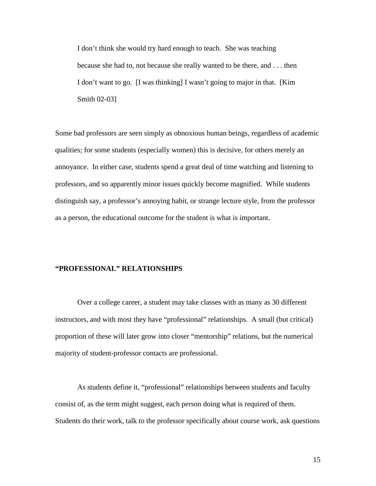I don't think she would try hard enough to teach. She was teaching because she had to, not because she really wanted to be there, and . . . then I don't want to go. [I was thinking] I wasn't going to major in that. [Kim Smith 02-03]

Some bad professors are seen simply as obnoxious human beings, regardless of academic qualities; for some students (especially women) this is decisive, for others merely an annoyance. In either case, students spend a great deal of time watching and listening to professors, and so apparently minor issues quickly become magnified. While students distinguish say, a professor's annoying habit, or strange lecture style, from the professor as a person, the educational outcome for the student is what is important.

#### **"PROFESSIONAL" RELATIONSHIPS**

Over a college career, a student may take classes with as many as 30 different instructors, and with most they have "professional" relationships. A small (but critical) proportion of these will later grow into closer "mentorship" relations, but the numerical majority of student-professor contacts are professional.

 As students define it, "professional" relationships between students and faculty consist of, as the term might suggest, each person doing what is required of them. Students do their work, talk to the professor specifically about course work, ask questions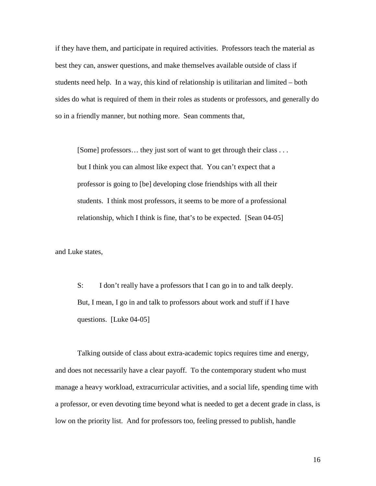if they have them, and participate in required activities. Professors teach the material as best they can, answer questions, and make themselves available outside of class if students need help. In a way, this kind of relationship is utilitarian and limited – both sides do what is required of them in their roles as students or professors, and generally do so in a friendly manner, but nothing more. Sean comments that,

[Some] professors... they just sort of want to get through their class ... but I think you can almost like expect that. You can't expect that a professor is going to [be] developing close friendships with all their students. I think most professors, it seems to be more of a professional relationship, which I think is fine, that's to be expected. [Sean 04-05]

and Luke states,

S: I don't really have a professors that I can go in to and talk deeply. But, I mean, I go in and talk to professors about work and stuff if I have questions. [Luke 04-05]

 Talking outside of class about extra-academic topics requires time and energy, and does not necessarily have a clear payoff. To the contemporary student who must manage a heavy workload, extracurricular activities, and a social life, spending time with a professor, or even devoting time beyond what is needed to get a decent grade in class, is low on the priority list. And for professors too, feeling pressed to publish, handle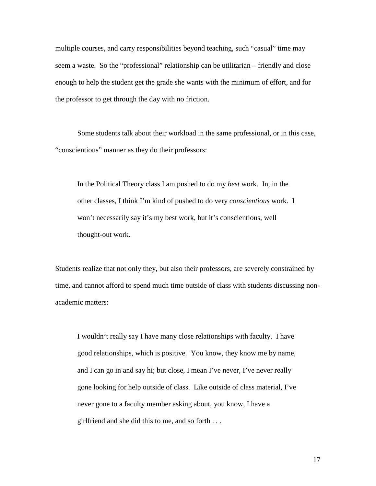multiple courses, and carry responsibilities beyond teaching, such "casual" time may seem a waste. So the "professional" relationship can be utilitarian – friendly and close enough to help the student get the grade she wants with the minimum of effort, and for the professor to get through the day with no friction.

Some students talk about their workload in the same professional, or in this case, "conscientious" manner as they do their professors:

In the Political Theory class I am pushed to do my *best* work. In, in the other classes, I think I'm kind of pushed to do very *conscientious* work. I won't necessarily say it's my best work, but it's conscientious, well thought-out work.

Students realize that not only they, but also their professors, are severely constrained by time, and cannot afford to spend much time outside of class with students discussing nonacademic matters:

I wouldn't really say I have many close relationships with faculty. I have good relationships, which is positive. You know, they know me by name, and I can go in and say hi; but close, I mean I've never, I've never really gone looking for help outside of class. Like outside of class material, I've never gone to a faculty member asking about, you know, I have a girlfriend and she did this to me, and so forth . . .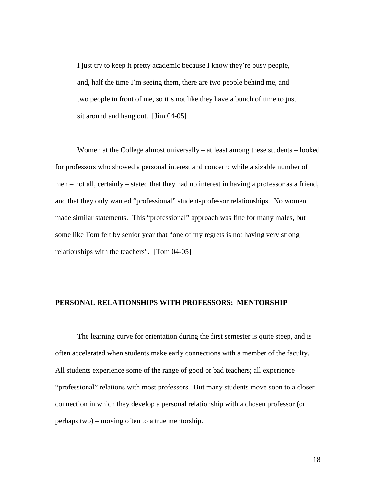I just try to keep it pretty academic because I know they're busy people, and, half the time I'm seeing them, there are two people behind me, and two people in front of me, so it's not like they have a bunch of time to just sit around and hang out. [Jim 04-05]

 Women at the College almost universally – at least among these students – looked for professors who showed a personal interest and concern; while a sizable number of men – not all, certainly – stated that they had no interest in having a professor as a friend, and that they only wanted "professional" student-professor relationships. No women made similar statements. This "professional" approach was fine for many males, but some like Tom felt by senior year that "one of my regrets is not having very strong relationships with the teachers". [Tom 04-05]

### **PERSONAL RELATIONSHIPS WITH PROFESSORS: MENTORSHIP**

The learning curve for orientation during the first semester is quite steep, and is often accelerated when students make early connections with a member of the faculty. All students experience some of the range of good or bad teachers; all experience "professional" relations with most professors. But many students move soon to a closer connection in which they develop a personal relationship with a chosen professor (or perhaps two) – moving often to a true mentorship.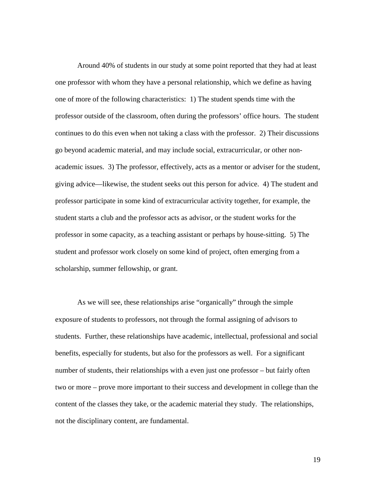Around 40% of students in our study at some point reported that they had at least one professor with whom they have a personal relationship, which we define as having one of more of the following characteristics: 1) The student spends time with the professor outside of the classroom, often during the professors' office hours. The student continues to do this even when not taking a class with the professor. 2) Their discussions go beyond academic material, and may include social, extracurricular, or other nonacademic issues. 3) The professor, effectively, acts as a mentor or adviser for the student, giving advice—likewise, the student seeks out this person for advice. 4) The student and professor participate in some kind of extracurricular activity together, for example, the student starts a club and the professor acts as advisor, or the student works for the professor in some capacity, as a teaching assistant or perhaps by house-sitting. 5) The student and professor work closely on some kind of project, often emerging from a scholarship, summer fellowship, or grant.

As we will see, these relationships arise "organically" through the simple exposure of students to professors, not through the formal assigning of advisors to students. Further, these relationships have academic, intellectual, professional and social benefits, especially for students, but also for the professors as well. For a significant number of students, their relationships with a even just one professor – but fairly often two or more – prove more important to their success and development in college than the content of the classes they take, or the academic material they study. The relationships, not the disciplinary content, are fundamental.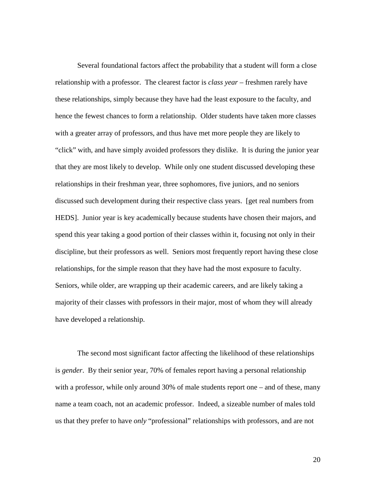Several foundational factors affect the probability that a student will form a close relationship with a professor. The clearest factor is *class year* – freshmen rarely have these relationships, simply because they have had the least exposure to the faculty, and hence the fewest chances to form a relationship. Older students have taken more classes with a greater array of professors, and thus have met more people they are likely to "click" with, and have simply avoided professors they dislike. It is during the junior year that they are most likely to develop. While only one student discussed developing these relationships in their freshman year, three sophomores, five juniors, and no seniors discussed such development during their respective class years. [get real numbers from HEDS]. Junior year is key academically because students have chosen their majors, and spend this year taking a good portion of their classes within it, focusing not only in their discipline, but their professors as well. Seniors most frequently report having these close relationships, for the simple reason that they have had the most exposure to faculty. Seniors, while older, are wrapping up their academic careers, and are likely taking a majority of their classes with professors in their major, most of whom they will already have developed a relationship.

The second most significant factor affecting the likelihood of these relationships is *gender*. By their senior year, 70% of females report having a personal relationship with a professor, while only around 30% of male students report one – and of these, many name a team coach, not an academic professor. Indeed, a sizeable number of males told us that they prefer to have *only* "professional" relationships with professors, and are not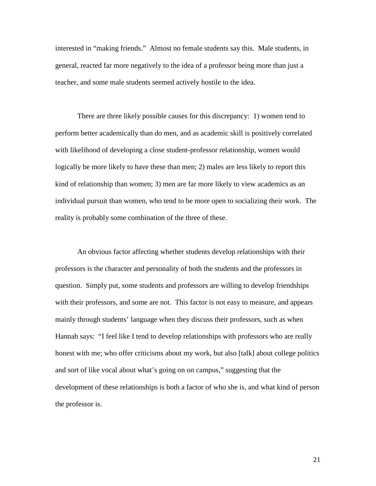interested in "making friends." Almost no female students say this. Male students, in general, reacted far more negatively to the idea of a professor being more than just a teacher, and some male students seemed actively hostile to the idea.

There are three likely possible causes for this discrepancy: 1) women tend to perform better academically than do men, and as academic skill is positively correlated with likelihood of developing a close student-professor relationship, women would logically be more likely to have these than men; 2) males are less likely to report this kind of relationship than women; 3) men are far more likely to view academics as an individual pursuit than women, who tend to be more open to socializing their work. The reality is probably some combination of the three of these.

An obvious factor affecting whether students develop relationships with their professors is the character and personality of both the students and the professors in question. Simply put, some students and professors are willing to develop friendships with their professors, and some are not. This factor is not easy to measure, and appears mainly through students' language when they discuss their professors, such as when Hannah says: "I feel like I tend to develop relationships with professors who are really honest with me; who offer criticisms about my work, but also [talk] about college politics and sort of like vocal about what's going on on campus," suggesting that the development of these relationships is both a factor of who she is, and what kind of person the professor is.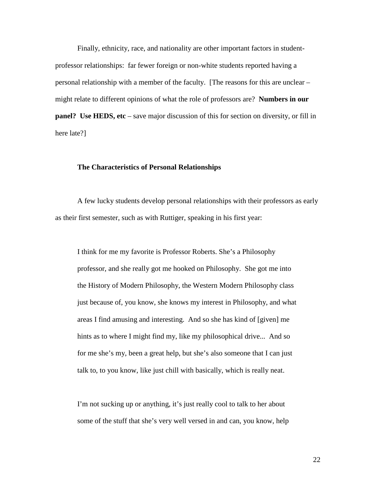Finally, ethnicity, race, and nationality are other important factors in studentprofessor relationships: far fewer foreign or non-white students reported having a personal relationship with a member of the faculty. [The reasons for this are unclear – might relate to different opinions of what the role of professors are? **Numbers in our panel?** Use HEDS, etc – save major discussion of this for section on diversity, or fill in here late?]

### **The Characteristics of Personal Relationships**

 A few lucky students develop personal relationships with their professors as early as their first semester, such as with Ruttiger, speaking in his first year:

I think for me my favorite is Professor Roberts. She's a Philosophy professor, and she really got me hooked on Philosophy. She got me into the History of Modern Philosophy, the Western Modern Philosophy class just because of, you know, she knows my interest in Philosophy, and what areas I find amusing and interesting. And so she has kind of [given] me hints as to where I might find my, like my philosophical drive... And so for me she's my, been a great help, but she's also someone that I can just talk to, to you know, like just chill with basically, which is really neat.

I'm not sucking up or anything, it's just really cool to talk to her about some of the stuff that she's very well versed in and can, you know, help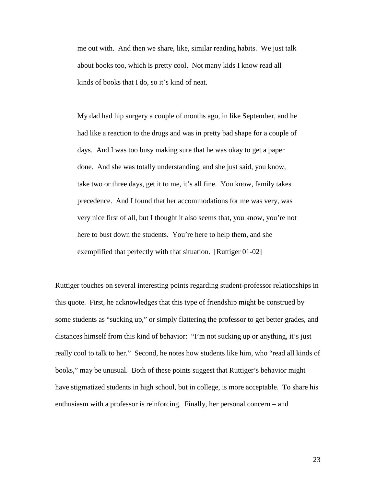me out with. And then we share, like, similar reading habits. We just talk about books too, which is pretty cool. Not many kids I know read all kinds of books that I do, so it's kind of neat.

My dad had hip surgery a couple of months ago, in like September, and he had like a reaction to the drugs and was in pretty bad shape for a couple of days. And I was too busy making sure that he was okay to get a paper done. And she was totally understanding, and she just said, you know, take two or three days, get it to me, it's all fine. You know, family takes precedence. And I found that her accommodations for me was very, was very nice first of all, but I thought it also seems that, you know, you're not here to bust down the students. You're here to help them, and she exemplified that perfectly with that situation. [Ruttiger 01-02]

Ruttiger touches on several interesting points regarding student-professor relationships in this quote. First, he acknowledges that this type of friendship might be construed by some students as "sucking up," or simply flattering the professor to get better grades, and distances himself from this kind of behavior: "I'm not sucking up or anything, it's just really cool to talk to her." Second, he notes how students like him, who "read all kinds of books," may be unusual. Both of these points suggest that Ruttiger's behavior might have stigmatized students in high school, but in college, is more acceptable. To share his enthusiasm with a professor is reinforcing. Finally, her personal concern – and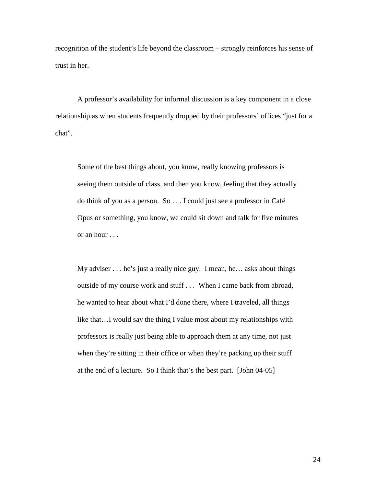recognition of the student's life beyond the classroom – strongly reinforces his sense of trust in her.

A professor's availability for informal discussion is a key component in a close relationship as when students frequently dropped by their professors' offices "just for a chat".

Some of the best things about, you know, really knowing professors is seeing them outside of class, and then you know, feeling that they actually do think of you as a person. So . . . I could just see a professor in Café Opus or something, you know, we could sit down and talk for five minutes or an hour . . .

My adviser . . . he's just a really nice guy. I mean, he… asks about things outside of my course work and stuff . . . When I came back from abroad, he wanted to hear about what I'd done there, where I traveled, all things like that…I would say the thing I value most about my relationships with professors is really just being able to approach them at any time, not just when they're sitting in their office or when they're packing up their stuff at the end of a lecture. So I think that's the best part. [John 04-05]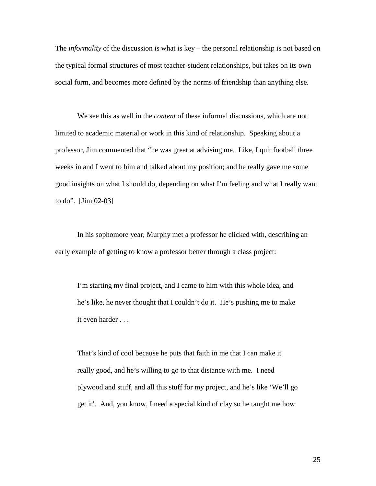The *informality* of the discussion is what is key – the personal relationship is not based on the typical formal structures of most teacher-student relationships, but takes on its own social form, and becomes more defined by the norms of friendship than anything else.

 We see this as well in the *content* of these informal discussions, which are not limited to academic material or work in this kind of relationship. Speaking about a professor, Jim commented that "he was great at advising me. Like, I quit football three weeks in and I went to him and talked about my position; and he really gave me some good insights on what I should do, depending on what I'm feeling and what I really want to do". [Jim 02-03]

In his sophomore year, Murphy met a professor he clicked with, describing an early example of getting to know a professor better through a class project:

I'm starting my final project, and I came to him with this whole idea, and he's like, he never thought that I couldn't do it. He's pushing me to make it even harder . . .

That's kind of cool because he puts that faith in me that I can make it really good, and he's willing to go to that distance with me. I need plywood and stuff, and all this stuff for my project, and he's like 'We'll go get it'. And, you know, I need a special kind of clay so he taught me how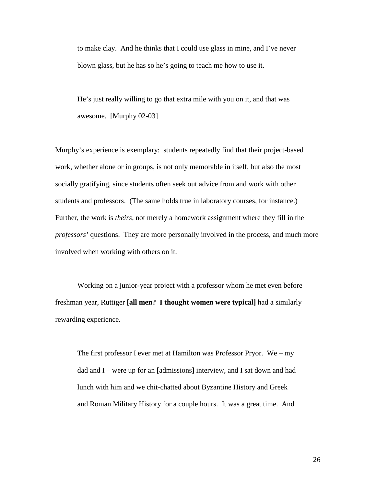to make clay. And he thinks that I could use glass in mine, and I've never blown glass, but he has so he's going to teach me how to use it.

He's just really willing to go that extra mile with you on it, and that was awesome. [Murphy 02-03]

Murphy's experience is exemplary: students repeatedly find that their project-based work, whether alone or in groups, is not only memorable in itself, but also the most socially gratifying, since students often seek out advice from and work with other students and professors. (The same holds true in laboratory courses, for instance.) Further, the work is *theirs*, not merely a homework assignment where they fill in the *professors'* questions. They are more personally involved in the process, and much more involved when working with others on it.

 Working on a junior-year project with a professor whom he met even before freshman year, Ruttiger **[all men? I thought women were typical]** had a similarly rewarding experience.

The first professor I ever met at Hamilton was Professor Pryor. We – my dad and I – were up for an [admissions] interview, and I sat down and had lunch with him and we chit-chatted about Byzantine History and Greek and Roman Military History for a couple hours. It was a great time. And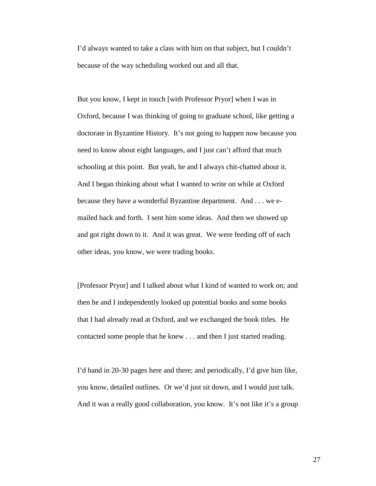I'd always wanted to take a class with him on that subject, but I couldn't because of the way scheduling worked out and all that.

But you know, I kept in touch [with Professor Pryor] when I was in Oxford, because I was thinking of going to graduate school, like getting a doctorate in Byzantine History. It's not going to happen now because you need to know about eight languages, and I just can't afford that much schooling at this point. But yeah, he and I always chit-chatted about it. And I began thinking about what I wanted to write on while at Oxford because they have a wonderful Byzantine department. And . . . we emailed back and forth. I sent him some ideas. And then we showed up and got right down to it. And it was great. We were feeding off of each other ideas, you know, we were trading books.

[Professor Pryor] and I talked about what I kind of wanted to work on; and then he and I independently looked up potential books and some books that I had already read at Oxford, and we exchanged the book titles. He contacted some people that he knew . . . and then I just started reading.

I'd hand in 20-30 pages here and there; and periodically, I'd give him like, you know, detailed outlines. Or we'd just sit down, and I would just talk. And it was a really good collaboration, you know. It's not like it's a group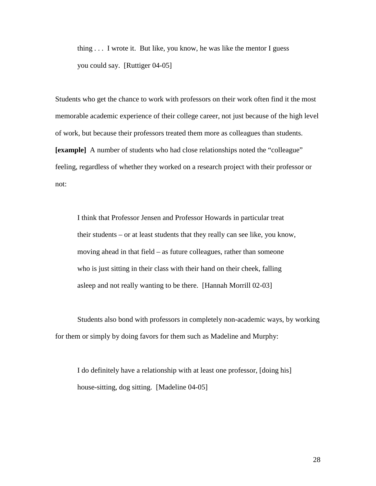thing . . . I wrote it. But like, you know, he was like the mentor I guess you could say. [Ruttiger 04-05]

Students who get the chance to work with professors on their work often find it the most memorable academic experience of their college career, not just because of the high level of work, but because their professors treated them more as colleagues than students. **[example]** A number of students who had close relationships noted the "colleague" feeling, regardless of whether they worked on a research project with their professor or not:

I think that Professor Jensen and Professor Howards in particular treat their students – or at least students that they really can see like, you know, moving ahead in that field – as future colleagues, rather than someone who is just sitting in their class with their hand on their cheek, falling asleep and not really wanting to be there. [Hannah Morrill 02-03]

 Students also bond with professors in completely non-academic ways, by working for them or simply by doing favors for them such as Madeline and Murphy:

I do definitely have a relationship with at least one professor, [doing his] house-sitting, dog sitting. [Madeline 04-05]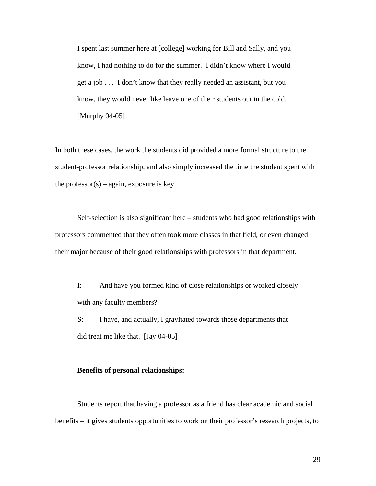I spent last summer here at [college] working for Bill and Sally, and you know, I had nothing to do for the summer. I didn't know where I would get a job . . . I don't know that they really needed an assistant, but you know, they would never like leave one of their students out in the cold. [Murphy 04-05]

In both these cases, the work the students did provided a more formal structure to the student-professor relationship, and also simply increased the time the student spent with the professor $(s)$  – again, exposure is key.

 Self-selection is also significant here – students who had good relationships with professors commented that they often took more classes in that field, or even changed their major because of their good relationships with professors in that department.

I: And have you formed kind of close relationships or worked closely with any faculty members?

S: I have, and actually, I gravitated towards those departments that did treat me like that. [Jay 04-05]

### **Benefits of personal relationships:**

 Students report that having a professor as a friend has clear academic and social benefits – it gives students opportunities to work on their professor's research projects, to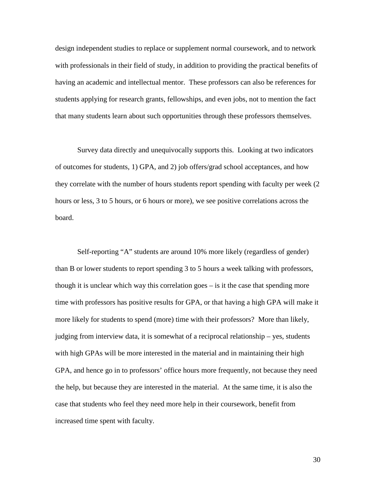design independent studies to replace or supplement normal coursework, and to network with professionals in their field of study, in addition to providing the practical benefits of having an academic and intellectual mentor. These professors can also be references for students applying for research grants, fellowships, and even jobs, not to mention the fact that many students learn about such opportunities through these professors themselves.

 Survey data directly and unequivocally supports this. Looking at two indicators of outcomes for students, 1) GPA, and 2) job offers/grad school acceptances, and how they correlate with the number of hours students report spending with faculty per week (2 hours or less, 3 to 5 hours, or 6 hours or more), we see positive correlations across the board.

 Self-reporting "A" students are around 10% more likely (regardless of gender) than B or lower students to report spending 3 to 5 hours a week talking with professors, though it is unclear which way this correlation goes – is it the case that spending more time with professors has positive results for GPA, or that having a high GPA will make it more likely for students to spend (more) time with their professors? More than likely, judging from interview data, it is somewhat of a reciprocal relationship – yes, students with high GPAs will be more interested in the material and in maintaining their high GPA, and hence go in to professors' office hours more frequently, not because they need the help, but because they are interested in the material. At the same time, it is also the case that students who feel they need more help in their coursework, benefit from increased time spent with faculty.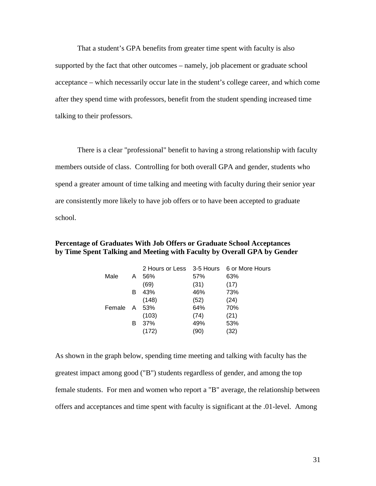That a student's GPA benefits from greater time spent with faculty is also supported by the fact that other outcomes – namely, job placement or graduate school acceptance – which necessarily occur late in the student's college career, and which come after they spend time with professors, benefit from the student spending increased time talking to their professors.

There is a clear "professional" benefit to having a strong relationship with faculty members outside of class. Controlling for both overall GPA and gender, students who spend a greater amount of time talking and meeting with faculty during their senior year are consistently more likely to have job offers or to have been accepted to graduate school.

| by Time Spent Talking and Meeting with Faculty by Overall GPA by Gender |  |                                           |  |
|-------------------------------------------------------------------------|--|-------------------------------------------|--|
|                                                                         |  | 2 Hours or Less 3-5 Hours 6 or More Hours |  |

**Percentage of Graduates With Job Offers or Graduate School Acceptances** 

|        |   | <u>LIUUIJUILEJJ</u> | o-o i iuui o | ווטטו ו סוטוויוויט ט |
|--------|---|---------------------|--------------|----------------------|
| Male   | A | 56%                 | 57%          | 63%                  |
|        |   | (69)                | (31)         | (17)                 |
|        | в | 43%                 | 46%          | 73%                  |
|        |   | (148)               | (52)         | (24)                 |
| Female | A | 53%                 | 64%          | 70%                  |
|        |   | (103)               | (74)         | (21)                 |
|        | в | 37%                 | 49%          | 53%                  |
|        |   | (172)               | (90)         | (32)                 |
|        |   |                     |              |                      |

As shown in the graph below, spending time meeting and talking with faculty has the greatest impact among good ("B") students regardless of gender, and among the top female students. For men and women who report a "B" average, the relationship between offers and acceptances and time spent with faculty is significant at the .01-level. Among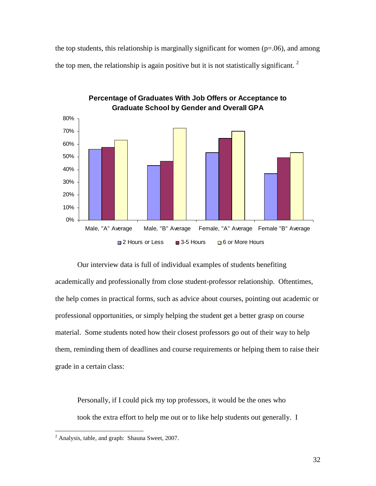the top students, this relationship is marginally significant for women  $(p=0.06)$ , and among the top men, the relationship is again positive but it is not statistically significant.<sup>2</sup>



**Percentage of Graduates With Job Offers or Acceptance to Graduate School by Gender and Overall GPA**

Our interview data is full of individual examples of students benefiting academically and professionally from close student-professor relationship. Oftentimes, the help comes in practical forms, such as advice about courses, pointing out academic or professional opportunities, or simply helping the student get a better grasp on course material. Some students noted how their closest professors go out of their way to help them, reminding them of deadlines and course requirements or helping them to raise their grade in a certain class:

Personally, if I could pick my top professors, it would be the ones who took the extra effort to help me out or to like help students out generally. I

<u>.</u>

 $2$  Analysis, table, and graph: Shauna Sweet, 2007.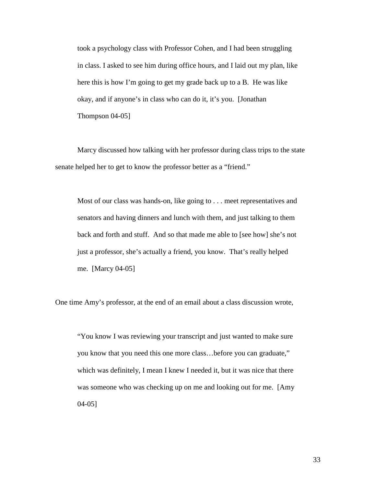took a psychology class with Professor Cohen, and I had been struggling in class. I asked to see him during office hours, and I laid out my plan, like here this is how I'm going to get my grade back up to a B. He was like okay, and if anyone's in class who can do it, it's you. [Jonathan Thompson 04-05]

Marcy discussed how talking with her professor during class trips to the state senate helped her to get to know the professor better as a "friend."

Most of our class was hands-on, like going to . . . meet representatives and senators and having dinners and lunch with them, and just talking to them back and forth and stuff. And so that made me able to [see how] she's not just a professor, she's actually a friend, you know. That's really helped me. [Marcy 04-05]

One time Amy's professor, at the end of an email about a class discussion wrote,

"You know I was reviewing your transcript and just wanted to make sure you know that you need this one more class…before you can graduate," which was definitely, I mean I knew I needed it, but it was nice that there was someone who was checking up on me and looking out for me. [Amy 04-05]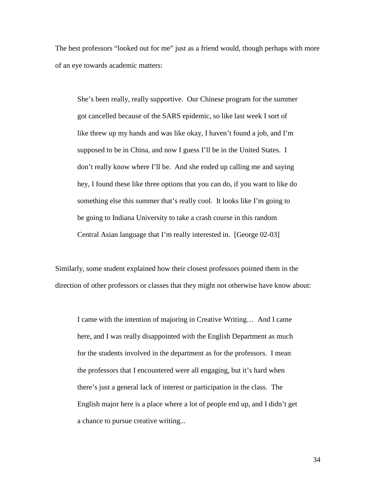The best professors "looked out for me" just as a friend would, though perhaps with more of an eye towards academic matters:

She's been really, really supportive. Our Chinese program for the summer got cancelled because of the SARS epidemic, so like last week I sort of like threw up my hands and was like okay, I haven't found a job, and I'm supposed to be in China, and now I guess I'll be in the United States. I don't really know where I'll be. And she ended up calling me and saying hey, I found these like three options that you can do, if you want to like do something else this summer that's really cool. It looks like I'm going to be going to Indiana University to take a crash course in this random Central Asian language that I'm really interested in. [George 02-03]

Similarly, some student explained how their closest professors pointed them in the direction of other professors or classes that they might not otherwise have know about:

I came with the intention of majoring in Creative Writing… And I came here, and I was really disappointed with the English Department as much for the students involved in the department as for the professors. I mean the professors that I encountered were all engaging, but it's hard when there's just a general lack of interest or participation in the class. The English major here is a place where a lot of people end up, and I didn't get a chance to pursue creative writing...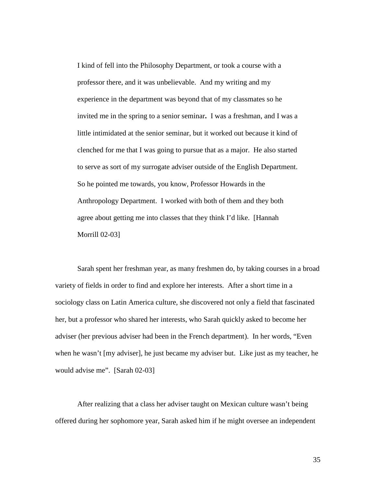I kind of fell into the Philosophy Department, or took a course with a professor there, and it was unbelievable. And my writing and my experience in the department was beyond that of my classmates so he invited me in the spring to a senior seminar**.** I was a freshman, and I was a little intimidated at the senior seminar, but it worked out because it kind of clenched for me that I was going to pursue that as a major. He also started to serve as sort of my surrogate adviser outside of the English Department. So he pointed me towards, you know, Professor Howards in the Anthropology Department. I worked with both of them and they both agree about getting me into classes that they think I'd like. [Hannah Morrill 02-03]

 Sarah spent her freshman year, as many freshmen do, by taking courses in a broad variety of fields in order to find and explore her interests. After a short time in a sociology class on Latin America culture, she discovered not only a field that fascinated her, but a professor who shared her interests, who Sarah quickly asked to become her adviser (her previous adviser had been in the French department). In her words, "Even when he wasn't [my adviser], he just became my adviser but. Like just as my teacher, he would advise me". [Sarah 02-03]

 After realizing that a class her adviser taught on Mexican culture wasn't being offered during her sophomore year, Sarah asked him if he might oversee an independent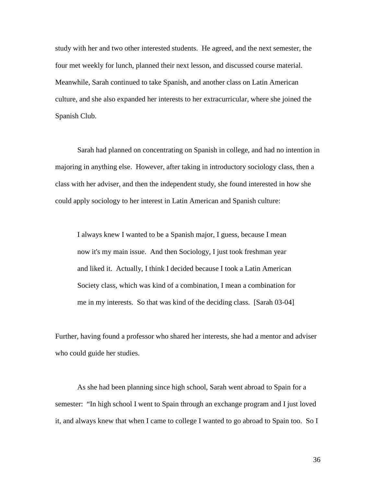study with her and two other interested students. He agreed, and the next semester, the four met weekly for lunch, planned their next lesson, and discussed course material. Meanwhile, Sarah continued to take Spanish, and another class on Latin American culture, and she also expanded her interests to her extracurricular, where she joined the Spanish Club.

 Sarah had planned on concentrating on Spanish in college, and had no intention in majoring in anything else. However, after taking in introductory sociology class, then a class with her adviser, and then the independent study, she found interested in how she could apply sociology to her interest in Latin American and Spanish culture:

I always knew I wanted to be a Spanish major, I guess, because I mean now it's my main issue. And then Sociology, I just took freshman year and liked it. Actually, I think I decided because I took a Latin American Society class, which was kind of a combination, I mean a combination for me in my interests. So that was kind of the deciding class. [Sarah 03-04]

Further, having found a professor who shared her interests, she had a mentor and adviser who could guide her studies.

 As she had been planning since high school, Sarah went abroad to Spain for a semester: "In high school I went to Spain through an exchange program and I just loved it, and always knew that when I came to college I wanted to go abroad to Spain too. So I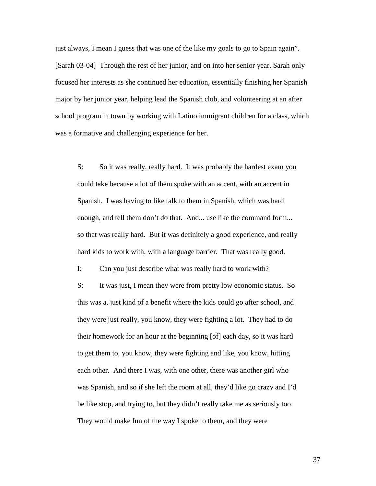just always, I mean I guess that was one of the like my goals to go to Spain again". [Sarah 03-04] Through the rest of her junior, and on into her senior year, Sarah only focused her interests as she continued her education, essentially finishing her Spanish major by her junior year, helping lead the Spanish club, and volunteering at an after school program in town by working with Latino immigrant children for a class, which was a formative and challenging experience for her.

S: So it was really, really hard. It was probably the hardest exam you could take because a lot of them spoke with an accent, with an accent in Spanish. I was having to like talk to them in Spanish, which was hard enough, and tell them don't do that. And... use like the command form... so that was really hard. But it was definitely a good experience, and really hard kids to work with, with a language barrier. That was really good.

I: Can you just describe what was really hard to work with?

S: It was just, I mean they were from pretty low economic status. So this was a, just kind of a benefit where the kids could go after school, and they were just really, you know, they were fighting a lot. They had to do their homework for an hour at the beginning [of] each day, so it was hard to get them to, you know, they were fighting and like, you know, hitting each other. And there I was, with one other, there was another girl who was Spanish, and so if she left the room at all, they'd like go crazy and I'd be like stop, and trying to, but they didn't really take me as seriously too. They would make fun of the way I spoke to them, and they were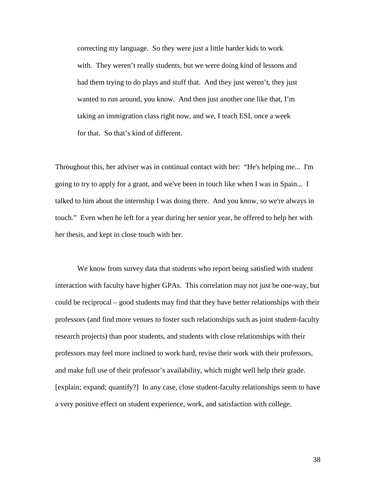correcting my language. So they were just a little harder kids to work with. They weren't really students, but we were doing kind of lessons and had them trying to do plays and stuff that. And they just weren't, they just wanted to run around, you know. And then just another one like that, I'm taking an immigration class right now, and we, I teach ESL once a week for that. So that's kind of different.

Throughout this, her adviser was in continual contact with her: "He's helping me... I'm going to try to apply for a grant, and we've been in touch like when I was in Spain... I talked to him about the internship I was doing there. And you know, so we're always in touch." Even when he left for a year during her senior year, he offered to help her with her thesis, and kept in close touch with her.

We know from survey data that students who report being satisfied with student interaction with faculty have higher GPAs. This correlation may not just be one-way, but could be reciprocal – good students may find that they have better relationships with their professors (and find more venues to foster such relationships such as joint student-faculty research projects) than poor students, and students with close relationships with their professors may feel more inclined to work hard, revise their work with their professors, and make full use of their professor's availability, which might well help their grade. [explain; expand; quantify?] In any case, close student-faculty relationships seem to have a very positive effect on student experience, work, and satisfaction with college.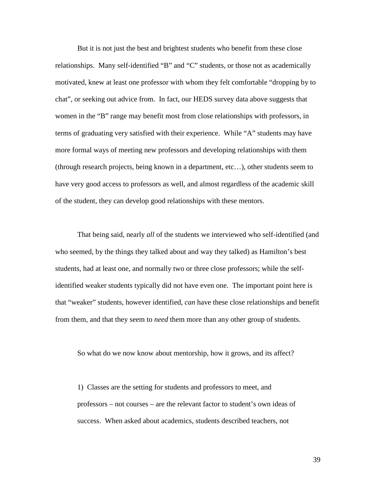But it is not just the best and brightest students who benefit from these close relationships. Many self-identified "B" and "C" students, or those not as academically motivated, knew at least one professor with whom they felt comfortable "dropping by to chat", or seeking out advice from. In fact, our HEDS survey data above suggests that women in the "B" range may benefit most from close relationships with professors, in terms of graduating very satisfied with their experience. While "A" students may have more formal ways of meeting new professors and developing relationships with them (through research projects, being known in a department, etc…), other students seem to have very good access to professors as well, and almost regardless of the academic skill of the student, they can develop good relationships with these mentors.

That being said, nearly *all* of the students we interviewed who self-identified (and who seemed, by the things they talked about and way they talked) as Hamilton's best students, had at least one, and normally two or three close professors; while the selfidentified weaker students typically did not have even one. The important point here is that "weaker" students, however identified, *can* have these close relationships and benefit from them, and that they seem to *need* them more than any other group of students.

So what do we now know about mentorship, how it grows, and its affect?

1) Classes are the setting for students and professors to meet, and professors – not courses – are the relevant factor to student's own ideas of success. When asked about academics, students described teachers, not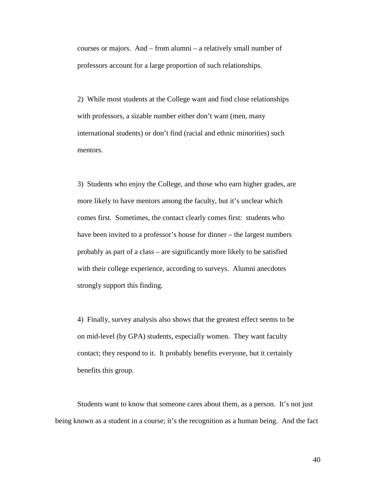courses or majors. And – from alumni – a relatively small number of professors account for a large proportion of such relationships.

2) While most students at the College want and find close relationships with professors, a sizable number either don't want (men, many international students) or don't find (racial and ethnic minorities) such mentors.

3) Students who enjoy the College, and those who earn higher grades, are more likely to have mentors among the faculty, but it's unclear which comes first. Sometimes, the contact clearly comes first: students who have been invited to a professor's house for dinner – the largest numbers probably as part of a class – are significantly more likely to be satisfied with their college experience, according to surveys. Alumni anecdotes strongly support this finding.

4) Finally, survey analysis also shows that the greatest effect seems to be on mid-level (by GPA) students, especially women. They want faculty contact; they respond to it. It probably benefits everyone, but it certainly benefits this group.

Students want to know that someone cares about them, as a person. It's not just being known as a student in a course; it's the recognition as a human being. And the fact